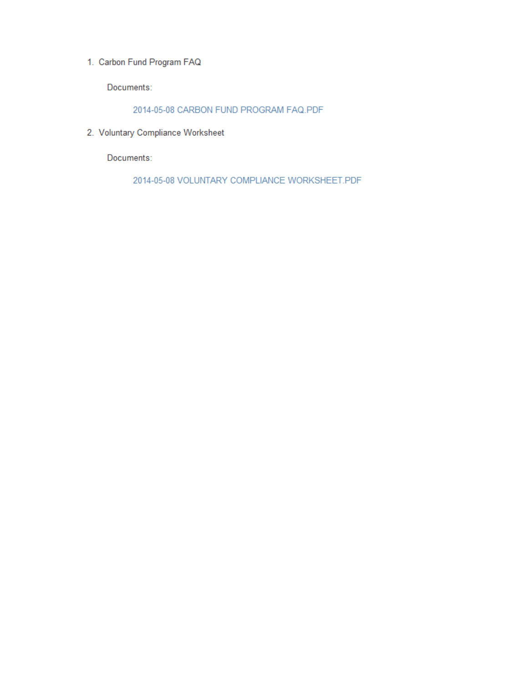1. Carbon Fund Program FAQ

Documents:

2014-05-08 CARBON FUND PROGRAM FAQ.PDF

2. Voluntary Compliance Worksheet

Documents:

2014-05-08 VOLUNTARY COMPLIANCE WORKSHEET.PDF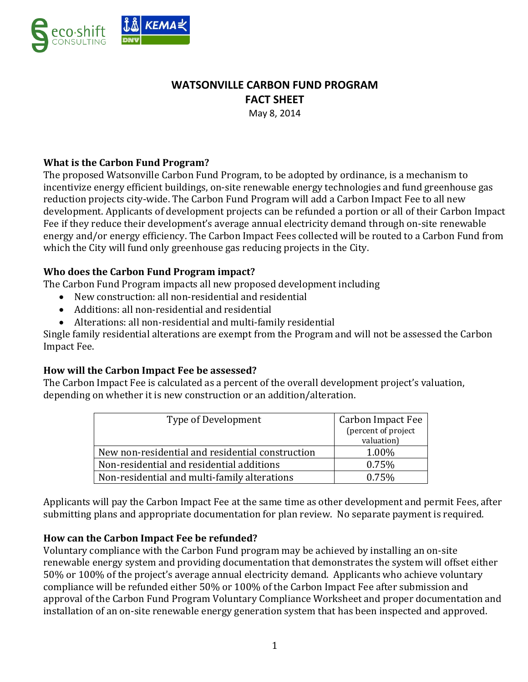

# **WATSONVILLE CARBON FUND PROGRAM FACT SHEET**

May 8, 2014

## **What is the Carbon Fund Program?**

The proposed Watsonville Carbon Fund Program, to be adopted by ordinance, is a mechanism to incentivize energy efficient buildings, on-site renewable energy technologies and fund greenhouse gas reduction projects city-wide. The Carbon Fund Program will add a Carbon Impact Fee to all new development. Applicants of development projects can be refunded a portion or all of their Carbon Impact Fee if they reduce their development's average annual electricity demand through on-site renewable energy and/or energy efficiency. The Carbon Impact Fees collected will be routed to a Carbon Fund from which the City will fund only greenhouse gas reducing projects in the City.

## **Who does the Carbon Fund Program impact?**

The Carbon Fund Program impacts all new proposed development including

- New construction: all non-residential and residential
- Additions: all non-residential and residential
- Alterations: all non-residential and multi-family residential

Single family residential alterations are exempt from the Program and will not be assessed the Carbon Impact Fee.

## **How will the Carbon Impact Fee be assessed?**

The Carbon Impact Fee is calculated as a percent of the overall development project's valuation, depending on whether it is new construction or an addition/alteration.

| Type of Development                              | <b>Carbon Impact Fee</b><br>(percent of project |
|--------------------------------------------------|-------------------------------------------------|
|                                                  | valuation)                                      |
| New non-residential and residential construction | 1.00%                                           |
| Non-residential and residential additions        | 0.75%                                           |
| Non-residential and multi-family alterations     | 0.75%                                           |

Applicants will pay the Carbon Impact Fee at the same time as other development and permit Fees, after submitting plans and appropriate documentation for plan review. No separate payment is required.

### **How can the Carbon Impact Fee be refunded?**

Voluntary compliance with the Carbon Fund program may be achieved by installing an on-site renewable energy system and providing documentation that demonstrates the system will offset either 50% or 100% of the project's average annual electricity demand. Applicants who achieve voluntary compliance will be refunded either 50% or 100% of the Carbon Impact Fee after submission and approval of the Carbon Fund Program Voluntary Compliance Worksheet and proper documentation and installation of an on-site renewable energy generation system that has been inspected and approved.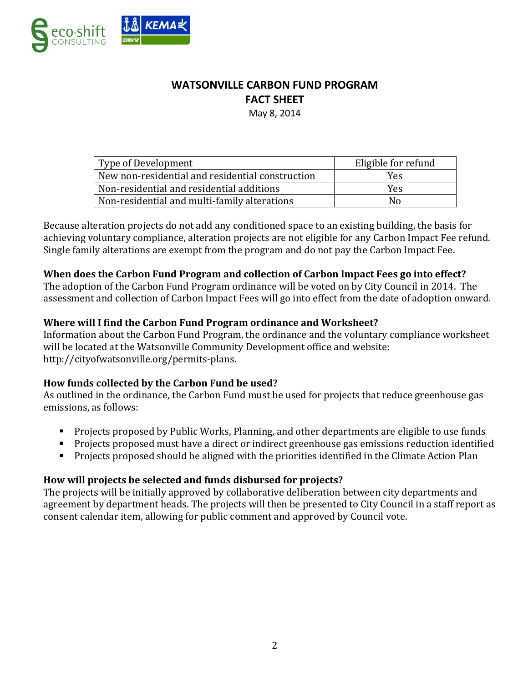

# **WATSONVILLE CARBON FUND PROGRAM FACT SHEET**

May 8, 2014

| Type of Development                              | Eligible for refund |
|--------------------------------------------------|---------------------|
| New non-residential and residential construction | Yes                 |
| Non-residential and residential additions        | Yes                 |
| Non-residential and multi-family alterations     | Nο                  |

Because alteration projects do not add any conditioned space to an existing building, the basis for achieving voluntary compliance, alteration projects are not eligible for any Carbon Impact Fee refund. Single family alterations are exempt from the program and do not pay the Carbon Impact Fee.

#### **When does the Carbon Fund Program and collection of Carbon Impact Fees go into effect?**

The adoption of the Carbon Fund Program ordinance will be voted on by City Council in 2014. The assessment and collection of Carbon Impact Fees will go into effect from the date of adoption onward.

### **Where will I find the Carbon Fund Program ordinance and Worksheet?**

Information about the Carbon Fund Program, the ordinance and the voluntary compliance worksheet will be located at the Watsonville Community Development office and website: http://cityofwatsonville.org/permits-plans.

### **How funds collected by the Carbon Fund be used?**

As outlined in the ordinance, the Carbon Fund must be used for projects that reduce greenhouse gas emissions, as follows:

- **Projects proposed by Public Works, Planning, and other departments are eligible to use funds**
- Projects proposed must have a direct or indirect greenhouse gas emissions reduction identified
- **Projects proposed should be aligned with the priorities identified in the Climate Action Plan**

### **How will projects be selected and funds disbursed for projects?**

The projects will be initially approved by collaborative deliberation between city departments and agreement by department heads. The projects will then be presented to City Council in a staff report as consent calendar item, allowing for public comment and approved by Council vote.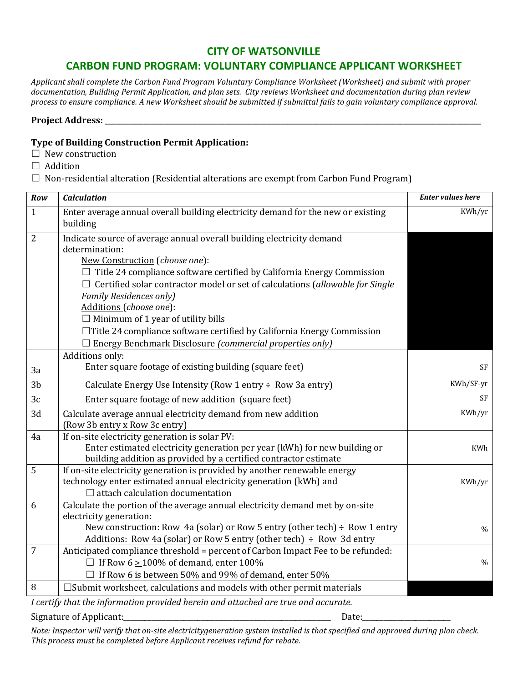## **CITY OF WATSONVILLE**

# **CARBON FUND PROGRAM: VOLUNTARY COMPLIANCE APPLICANT WORKSHEET**

*Applicant shall complete the Carbon Fund Program Voluntary Compliance Worksheet (Worksheet) and submit with proper documentation, Building Permit Application, and plan sets. City reviews Worksheet and documentation during plan review process to ensure compliance. A new Worksheet should be submitted if submittal fails to gain voluntary compliance approval.*

#### Project Address:

#### **Type of Building Construction Permit Application:**

- $\Box$  New construction
- □ Addition
- $\Box$  Non-residential alteration (Residential alterations are exempt from Carbon Fund Program)

| Row             | <b>Calculation</b>                                                                                    | <b>Enter values here</b> |
|-----------------|-------------------------------------------------------------------------------------------------------|--------------------------|
| $\mathbf{1}$    | Enter average annual overall building electricity demand for the new or existing<br>building          | KWh/yr                   |
| $\overline{2}$  | Indicate source of average annual overall building electricity demand                                 |                          |
|                 | determination:                                                                                        |                          |
|                 | New Construction (choose one):                                                                        |                          |
|                 | $\Box$ Title 24 compliance software certified by California Energy Commission                         |                          |
|                 | $\Box$ Certified solar contractor model or set of calculations (allowable for Single                  |                          |
|                 | <b>Family Residences only)</b>                                                                        |                          |
|                 | Additions (choose one):                                                                               |                          |
|                 | $\Box$ Minimum of 1 year of utility bills                                                             |                          |
|                 | □Title 24 compliance software certified by California Energy Commission                               |                          |
|                 | $\Box$ Energy Benchmark Disclosure (commercial properties only)                                       |                          |
|                 | Additions only:                                                                                       |                          |
| 3a              | Enter square footage of existing building (square feet)                                               | SF                       |
| 3 <sub>b</sub>  | Calculate Energy Use Intensity (Row 1 entry $\div$ Row 3a entry)                                      | KWh/SF-yr                |
| 3c              | Enter square footage of new addition (square feet)                                                    | <b>SF</b>                |
| 3d              | Calculate average annual electricity demand from new addition                                         | KWh/yr                   |
|                 | (Row 3b entry x Row 3c entry)                                                                         |                          |
| 4a              | If on-site electricity generation is solar PV:                                                        |                          |
|                 | Enter estimated electricity generation per year (kWh) for new building or                             | KWh                      |
|                 | building addition as provided by a certified contractor estimate                                      |                          |
| 5               | If on-site electricity generation is provided by another renewable energy                             |                          |
|                 | technology enter estimated annual electricity generation (kWh) and                                    | KWh/yr                   |
|                 | $\Box$ attach calculation documentation                                                               |                          |
| 6               | Calculate the portion of the average annual electricity demand met by on-site                         |                          |
|                 | electricity generation:<br>New construction: Row 4a (solar) or Row 5 entry (other tech) ÷ Row 1 entry |                          |
|                 | Additions: Row 4a (solar) or Row 5 entry (other tech) ÷ Row 3d entry                                  | $\%$                     |
| $7\overline{ }$ | Anticipated compliance threshold = percent of Carbon Impact Fee to be refunded:                       |                          |
|                 | $\Box$ If Row 6 $\geq$ 100% of demand, enter 100%                                                     | $\%$                     |
|                 | $\Box$ If Row 6 is between 50% and 99% of demand, enter 50%                                           |                          |
| 8               | $\square$ Submit worksheet, calculations and models with other permit materials                       |                          |
|                 | I cortify that the information provided bergin and attached are true and accurate                     |                          |

*I certify that the information provided herein and attached are true and accurate.*

#### Signature of Applicant:\_\_\_\_\_\_\_\_\_\_\_\_\_\_\_\_\_\_\_\_\_\_\_\_\_\_\_\_\_\_\_\_\_\_\_\_\_\_\_\_\_\_\_\_\_\_\_\_\_\_\_\_\_\_\_\_\_\_\_ Date:\_\_\_\_\_\_\_\_\_\_\_\_\_\_\_\_\_\_\_\_\_\_\_\_\_

*Note: Inspector will verify that on-site electricitygeneration system installed is that specified and approved during plan check. This process must be completed before Applicant receives refund for rebate.*